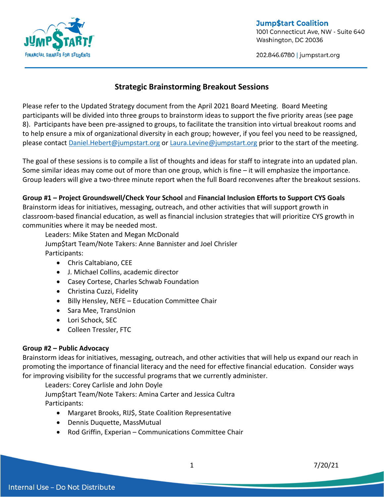

#### **Jump\$tart Coalition** 1001 Connecticut Ave, NW - Suite 640 Washington, DC 20036

202.846.6780 | jumpstart.org

# **Strategic Brainstorming Breakout Sessions**

Please refer to the Updated Strategy document from the April 2021 Board Meeting. Board Meeting participants will be divided into three groups to brainstorm ideas to support the five priority areas (see page 8). Participants have been pre-assigned to groups, to facilitate the transition into virtual breakout rooms and to help ensure a mix of organizational diversity in each group; however, if you feel you need to be reassigned, please contact [Daniel.Hebert@jumpstart.org](mailto:Daniel.Hebert@jumpstart.org) or [Laura.Levine@jumpstart.org](mailto:Laura.Levine@jumpstart.org) prior to the start of the meeting.

The goal of these sessions is to compile a list of thoughts and ideas for staff to integrate into an updated plan. Some similar ideas may come out of more than one group, which is fine – it will emphasize the importance. Group leaders will give a two-three minute report when the full Board reconvenes after the breakout sessions.

### **Group #1 – Project Groundswell/Check Your School** and **Financial Inclusion Efforts to Support CYS Goals**

Brainstorm ideas for initiatives, messaging, outreach, and other activities that will support growth in classroom-based financial education, as well as financial inclusion strategies that will prioritize CYS growth in communities where it may be needed most.

Leaders: Mike Staten and Megan McDonald Jump\$tart Team/Note Takers: Anne Bannister and Joel Chrisler Participants:

- Chris Caltabiano, CEE
- J. Michael Collins, academic director
- Casey Cortese, Charles Schwab Foundation
- Christina Cuzzi, Fidelity
- Billy Hensley, NEFE Education Committee Chair
- Sara Mee, TransUnion
- Lori Schock, SEC
- Colleen Tressler, FTC

### **Group #2 – Public Advocacy**

Brainstorm ideas for initiatives, messaging, outreach, and other activities that will help us expand our reach in promoting the importance of financial literacy and the need for effective financial education. Consider ways for improving visibility for the successful programs that we currently administer.

Leaders: Corey Carlisle and John Doyle

Jump\$tart Team/Note Takers: Amina Carter and Jessica Cultra Participants:

- Margaret Brooks, RIJ\$, State Coalition Representative
- Dennis Duquette, MassMutual
- Rod Griffin, Experian Communications Committee Chair